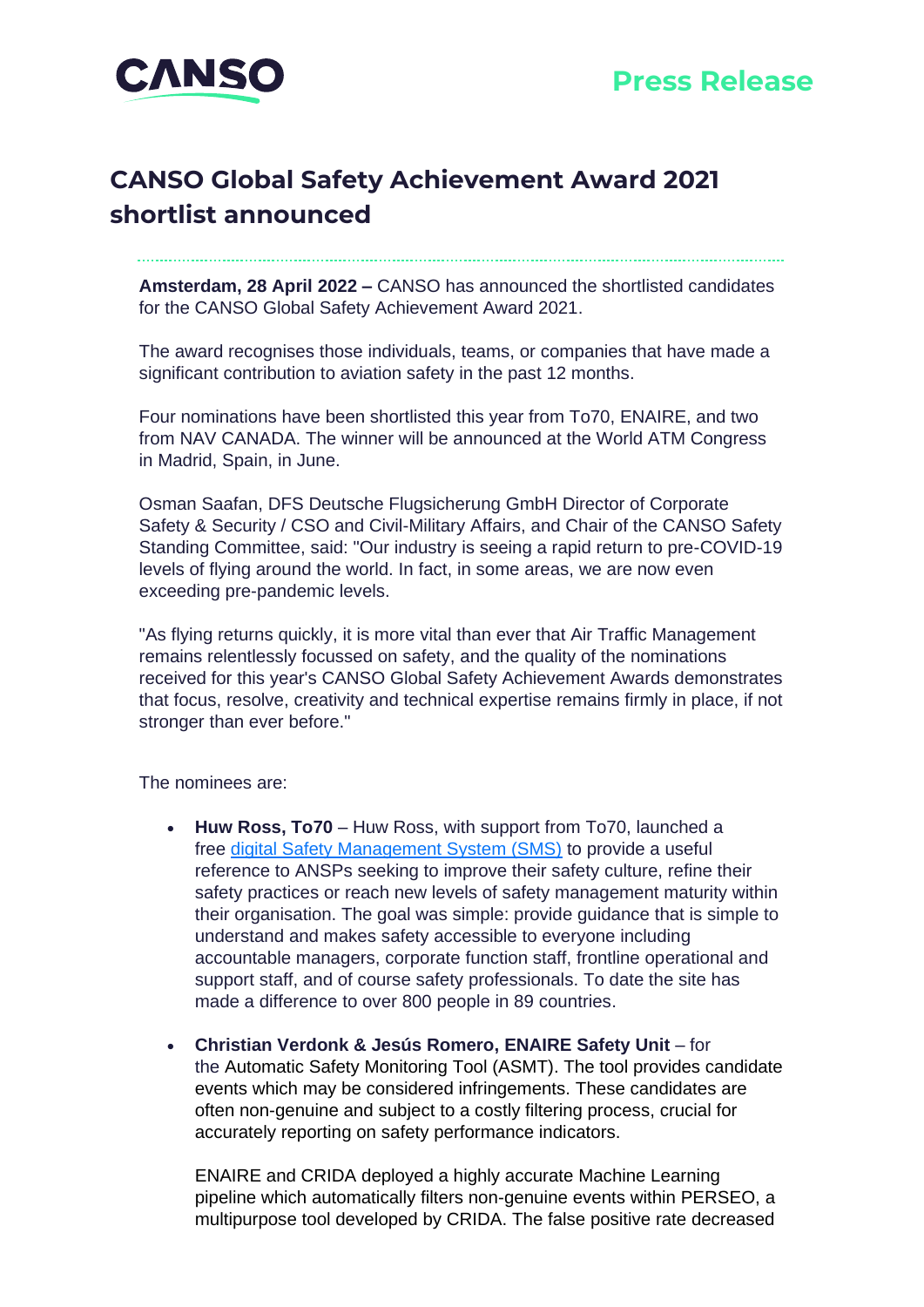

# **CANSO Global Safety Achievement Award 2021 shortlist announced**

**Amsterdam, 28 April 2022 –** CANSO has announced the shortlisted candidates for the CANSO Global Safety Achievement Award 2021.

The award recognises those individuals, teams, or companies that have made a significant contribution to aviation safety in the past 12 months.

Four nominations have been shortlisted this year from To70, ENAIRE, and two from NAV CANADA. The winner will be announced at the World ATM Congress in Madrid, Spain, in June.

Osman Saafan, DFS Deutsche Flugsicherung GmbH Director of Corporate Safety & Security / CSO and Civil-Military Affairs, and Chair of the CANSO Safety Standing Committee, said: "Our industry is seeing a rapid return to pre-COVID-19 levels of flying around the world. In fact, in some areas, we are now even exceeding pre-pandemic levels.

"As flying returns quickly, it is more vital than ever that Air Traffic Management remains relentlessly focussed on safety, and the quality of the nominations received for this year's CANSO Global Safety Achievement Awards demonstrates that focus, resolve, creativity and technical expertise remains firmly in place, if not stronger than ever before."

The nominees are:

- **Huw Ross, To70** Huw Ross, with support from To70, launched a free [digital Safety Management System \(SMS\)](https://safety.to70.com/?utm_source=hs_email&utm_medium=email&_hsenc=p2ANqtz--msryDdT0g0FYKAvSifLd8iNbHVL-cK2WqWnN8yP85Jz85yWhwF6-jB16AcOdSwH5wNel6) to provide a useful reference to ANSPs seeking to improve their safety culture, refine their safety practices or reach new levels of safety management maturity within their organisation. The goal was simple: provide guidance that is simple to understand and makes safety accessible to everyone including accountable managers, corporate function staff, frontline operational and support staff, and of course safety professionals. To date the site has made a difference to over 800 people in 89 countries.
- **Christian Verdonk & Jesús Romero, ENAIRE Safety Unit** for the Automatic Safety Monitoring Tool (ASMT). The tool provides candidate events which may be considered infringements. These candidates are often non-genuine and subject to a costly filtering process, crucial for accurately reporting on safety performance indicators.

ENAIRE and CRIDA deployed a highly accurate Machine Learning pipeline which automatically filters non-genuine events within PERSEO, a multipurpose tool developed by CRIDA. The false positive rate decreased